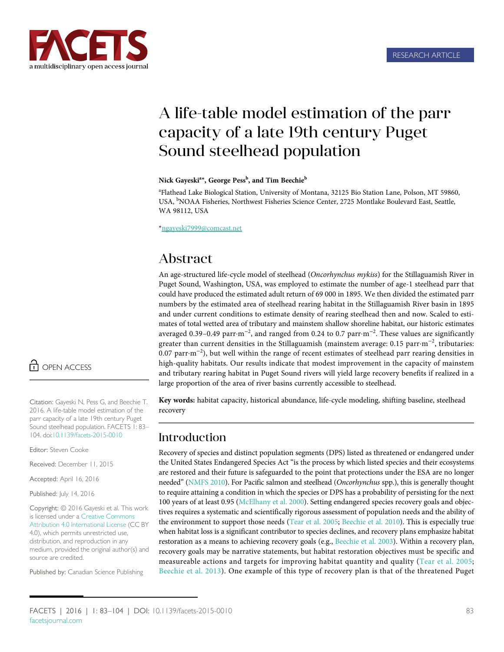

## A life-table model estimation of the parr capacity of a late 19th century Puget Sound steelhead population

#### Nick Gayeski $^{\mathrm{a}\star}$ , George Pess $^{\mathrm{b}}$ , and Tim Beechie $^{\mathrm{b}}$

a Flathead Lake Biological Station, University of Montana, 32125 Bio Station Lane, Polson, MT 59860, USA, <sup>b</sup>NOAA Fisheries, Northwest Fisheries Science Center, 2725 Montlake Boulevard East, Seattle, WA 98112, USA

\*[ngayeski7999@comcast.net](mailto:ngayeski7999@comcast.net)

## Abstract

An age-structured life-cycle model of steelhead (Oncorhynchus mykiss) for the Stillaguamish River in Puget Sound, Washington, USA, was employed to estimate the number of age-1 steelhead parr that could have produced the estimated adult return of 69 000 in 1895. We then divided the estimated parr numbers by the estimated area of steelhead rearing habitat in the Stillaguamish River basin in 1895 and under current conditions to estimate density of rearing steelhead then and now. Scaled to estimates of total wetted area of tributary and mainstem shallow shoreline habitat, our historic estimates averaged 0.39–0.49 parr·m<sup>−2</sup>, and ranged from 0.24 to 0.7 parr·m<sup>−2</sup>. These values are significantly greater than current densities in the Stillaguamish (mainstem average: 0.15 parr·m<sup>-2</sup>, tributaries: 0.07 parr·m<sup>−</sup><sup>2</sup> ), but well within the range of recent estimates of steelhead parr rearing densities in high-quality habitats. Our results indicate that modest improvement in the capacity of mainstem and tributary rearing habitat in Puget Sound rivers will yield large recovery benefits if realized in a large proportion of the area of river basins currently accessible to steelhead.

Key words: habitat capacity, historical abundance, life-cycle modeling, shifting baseline, steelhead recovery

## Introduction

Recovery of species and distinct population segments (DPS) listed as threatened or endangered under the United States Endangered Species Act "is the process by which listed species and their ecosystems are restored and their future is safeguarded to the point that protections under the ESA are no longer needed" ([NMFS 2010](#page-20-0)). For Pacific salmon and steelhead (*Oncorhynchus* spp.), this is generally thought to require attaining a condition in which the species or DPS has a probability of persisting for the next 100 years of at least 0.95 [\(McElhany et al. 2000](#page-19-0)). Setting endangered species recovery goals and objectives requires a systematic and scientifically rigorous assessment of population needs and the ability of the environment to support those needs ([Tear et al. 2005;](#page-21-0) [Beechie et al. 2010\)](#page-19-1). This is especially true when habitat loss is a significant contributor to species declines, and recovery plans emphasize habitat restoration as a means to achieving recovery goals (e.g., [Beechie et al. 2003\)](#page-18-0). Within a recovery plan, recovery goals may be narrative statements, but habitat restoration objectives must be specific and measureable actions and targets for improving habitat quantity and quality ([Tear et al. 2005;](#page-21-0) [Beechie et al. 2013\)](#page-18-1). One example of this type of recovery plan is that of the threatened Puget

n OPEN ACCESS

Citation: Gayeski N, Pess G, and Beechie T. 2016. A life-table model estimation of the parr capacity of a late 19th century Puget Sound steelhead population. FACETS 1: 83– 104. doi[:10.1139/facets-2015-0010](http://dx.doi.org/10.1139/facets-2015-0010)

Editor: Steven Cooke

Received: December 11, 2015

Accepted: April 16, 2016

Published: July 14, 2016

Copyright: © 2016 Gayeski et al. This work is licensed under a [Creative Commons](http://creativecommons.org/licenses/by/4.0/deed.en_GB) [Attribution 4.0 International License](http://creativecommons.org/licenses/by/4.0/deed.en_GB) (CC BY 4.0), which permits unrestricted use, distribution, and reproduction in any medium, provided the original author(s) and source are credited.

Published by: Canadian Science Publishing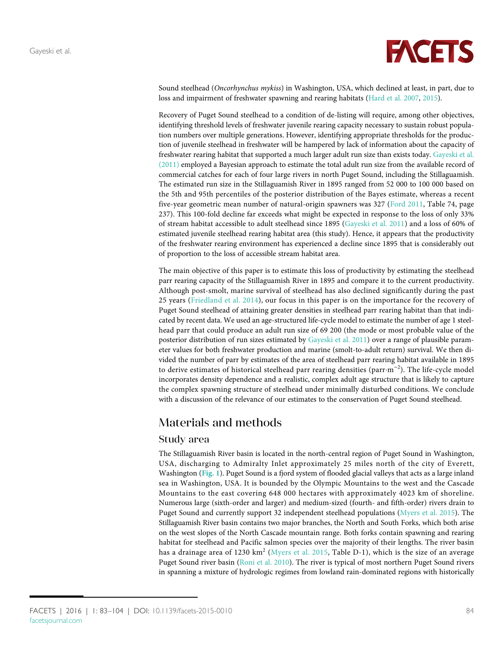

Sound steelhead (Oncorhynchus mykiss) in Washington, USA, which declined at least, in part, due to loss and impairment of freshwater spawning and rearing habitats ([Hard et al. 2007,](#page-19-2) [2015\)](#page-19-3).

Recovery of Puget Sound steelhead to a condition of de-listing will require, among other objectives, identifying threshold levels of freshwater juvenile rearing capacity necessary to sustain robust population numbers over multiple generations. However, identifying appropriate thresholds for the production of juvenile steelhead in freshwater will be hampered by lack of information about the capacity of freshwater rearing habitat that supported a much larger adult run size than exists today. [Gayeski et al.](#page-19-4) [\(2011\)](#page-19-4) employed a Bayesian approach to estimate the total adult run size from the available record of commercial catches for each of four large rivers in north Puget Sound, including the Stillaguamish. The estimated run size in the Stillaguamish River in 1895 ranged from 52 000 to 100 000 based on the 5th and 95th percentiles of the posterior distribution of the Bayes estimate, whereas a recent five-year geometric mean number of natural-origin spawners was 327 ([Ford 2011](#page-19-5), Table 74, page 237). This 100-fold decline far exceeds what might be expected in response to the loss of only 33% of stream habitat accessible to adult steelhead since 1895 ([Gayeski et al. 2011\)](#page-19-4) and a loss of 60% of estimated juvenile steelhead rearing habitat area (this study). Hence, it appears that the productivity of the freshwater rearing environment has experienced a decline since 1895 that is considerably out of proportion to the loss of accessible stream habitat area.

The main objective of this paper is to estimate this loss of productivity by estimating the steelhead parr rearing capacity of the Stillaguamish River in 1895 and compare it to the current productivity. Although post-smolt, marine survival of steelhead has also declined significantly during the past 25 years ([Friedland et al. 2014\)](#page-19-6), our focus in this paper is on the importance for the recovery of Puget Sound steelhead of attaining greater densities in steelhead parr rearing habitat than that indicated by recent data. We used an age-structured life-cycle model to estimate the number of age 1 steelhead parr that could produce an adult run size of 69 200 (the mode or most probable value of the posterior distribution of run sizes estimated by [Gayeski et al. 2011](#page-19-4)) over a range of plausible parameter values for both freshwater production and marine (smolt-to-adult return) survival. We then divided the number of parr by estimates of the area of steelhead parr rearing habitat available in 1895 to derive estimates of historical steelhead parr rearing densities (parr·m<sup>−</sup><sup>2</sup> ). The life-cycle model incorporates density dependence and a realistic, complex adult age structure that is likely to capture the complex spawning structure of steelhead under minimally disturbed conditions. We conclude with a discussion of the relevance of our estimates to the conservation of Puget Sound steelhead.

## Materials and methods

#### Study area

The Stillaguamish River basin is located in the north-central region of Puget Sound in Washington, USA, discharging to Admiralty Inlet approximately 25 miles north of the city of Everett, Washington ([Fig. 1](#page-2-0)). Puget Sound is a fjord system of flooded glacial valleys that acts as a large inland sea in Washington, USA. It is bounded by the Olympic Mountains to the west and the Cascade Mountains to the east covering 648 000 hectares with approximately 4023 km of shoreline. Numerous large (sixth-order and larger) and medium-sized (fourth- and fifth-order) rivers drain to Puget Sound and currently support 32 independent steelhead populations [\(Myers et al. 2015\)](#page-20-1). The Stillaguamish River basin contains two major branches, the North and South Forks, which both arise on the west slopes of the North Cascade mountain range. Both forks contain spawning and rearing habitat for steelhead and Pacific salmon species over the majority of their lengths. The river basin has a drainage area of 1230 km $^2$  ([Myers et al. 2015](#page-20-1), Table D-1), which is the size of an average Puget Sound river basin [\(Roni et al. 2010](#page-20-2)). The river is typical of most northern Puget Sound rivers in spanning a mixture of hydrologic regimes from lowland rain-dominated regions with historically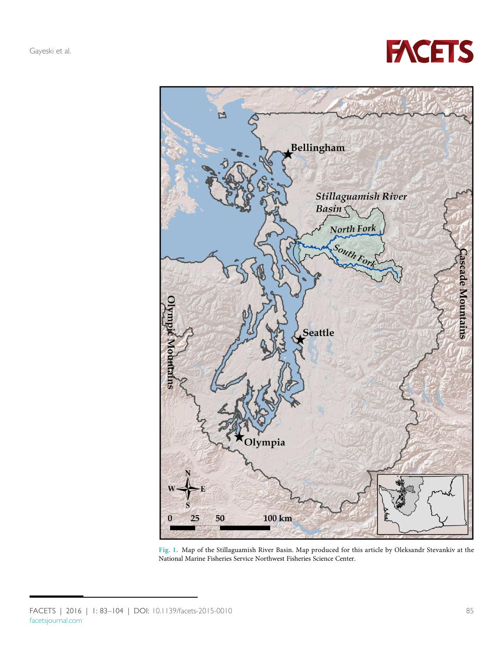

<span id="page-2-0"></span>

Fig. 1. Map of the Stillaguamish River Basin. Map produced for this article by Oleksandr Stevankiv at the National Marine Fisheries Service Northwest Fisheries Science Center.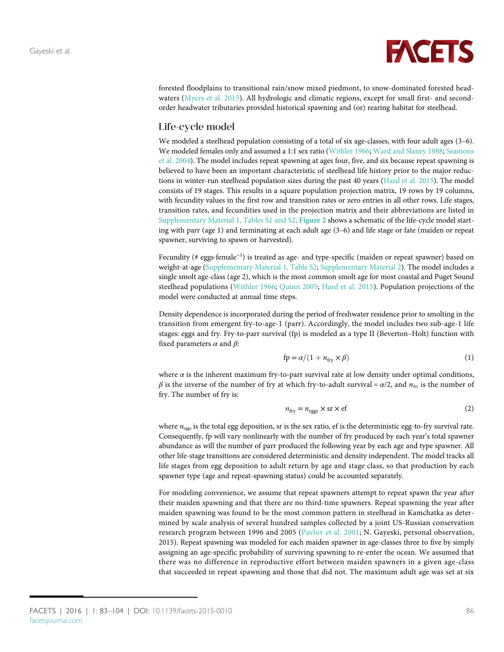

forested floodplains to transitional rain/snow mixed piedmont, to snow-dominated forested headwaters ([Myers et al. 2015](#page-20-1)). All hydrologic and climatic regions, except for small first- and secondorder headwater tributaries provided historical spawning and (or) rearing habitat for steelhead.

## Life-cycle model

We modeled a steelhead population consisting of a total of six age-classes, with four adult ages (3–6). We modeled females only and assumed a 1:1 sex ratio ([Withler 1966](#page-21-1); [Ward and Slaney 1988](#page-21-2); [Seamons](#page-21-3) [et al. 2004](#page-21-3)). The model includes repeat spawning at ages four, five, and six because repeat spawning is believed to have been an important characteristic of steelhead life history prior to the major reductions in winter-run steelhead population sizes during the past 40 years [\(Hard et al. 2015](#page-19-3)). The model consists of 19 stages. This results in a square population projection matrix, 19 rows by 19 columns, with fecundity values in the first row and transition rates or zero entries in all other rows. Life stages, transition rates, and fecundities used in the projection matrix and their abbreviations are listed in [Supplementary Material 1, Tables S1 and S2](#page-18-2). [Figure 2](#page-4-0) shows a schematic of the life-cycle model starting with parr (age 1) and terminating at each adult age (3–6) and life stage or fate (maiden or repeat spawner, surviving to spawn or harvested).

Fecundity (# eggs·female<sup>-1</sup>) is treated as age- and type-specific (maiden or repeat spawner) based on weight-at-age ([Supplementary Material 1, Table S2;](#page-18-2) [Supplementary Material 2\)](#page-18-3). The model includes a single smolt age-class (age 2), which is the most common smolt age for most coastal and Puget Sound steelhead populations [\(Withler 1966;](#page-21-1) [Quinn 2005](#page-20-3); [Hard et al. 2015\)](#page-19-3). Population projections of the model were conducted at annual time steps.

Density dependence is incorporated during the period of freshwater residence prior to smolting in the transition from emergent fry-to-age-1 (parr). Accordingly, the model includes two sub-age-1 life stages: eggs and fry. Fry-to-parr survival (fp) is modeled as a type II (Beverton–Holt) function with fixed parameters  $\alpha$  and  $\beta$ :

$$
fp = \alpha/(1 + n_{\text{fry}} \times \beta) \tag{1}
$$

where  $\alpha$  is the inherent maximum fry-to-parr survival rate at low density under optimal conditions, β is the inverse of the number of fry at which fry-to-adult survival =  $\alpha/2$ , and  $n_{fiv}$  is the number of fry. The number of fry is:

$$
n_{\rm fry} = n_{\rm eggs} \times \text{sr} \times \text{ef}
$$
 (2)

where  $n_{eggs}$  is the total egg deposition, sr is the sex ratio, ef is the deterministic egg-to-fry survival rate. Consequently, fp will vary nonlinearly with the number of fry produced by each year's total spawner abundance as will the number of parr produced the following year by each age and type spawner. All other life-stage transitions are considered deterministic and density independent. The model tracks all life stages from egg deposition to adult return by age and stage class, so that production by each spawner type (age and repeat-spawning status) could be accounted separately.

For modeling convenience, we assume that repeat spawners attempt to repeat spawn the year after their maiden spawning and that there are no third-time spawners. Repeat spawning the year after maiden spawning was found to be the most common pattern in steelhead in Kamchatka as determined by scale analysis of several hundred samples collected by a joint US-Russian conservation research program between 1996 and 2005 [\(Pavlov et al. 2001;](#page-20-4) N. Gayeski, personal observation, 2015). Repeat spawning was modeled for each maiden spawner in age-classes three to five by simply assigning an age-specific probability of surviving spawning to re-enter the ocean. We assumed that there was no difference in reproductive effort between maiden spawners in a given age-class that succeeded in repeat spawning and those that did not. The maximum adult age was set at six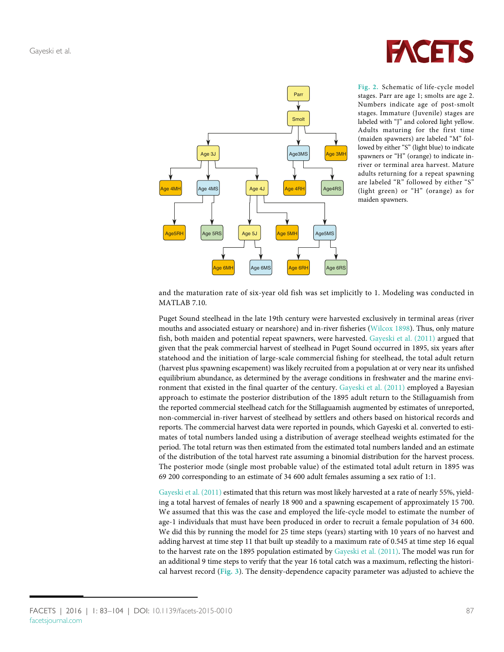

<span id="page-4-0"></span>

Fig. 2. Schematic of life-cycle model stages. Parr are age 1; smolts are age 2. Numbers indicate age of post-smolt stages. Immature (Juvenile) stages are labeled with "J" and colored light yellow. Adults maturing for the first time (maiden spawners) are labeled "M" followed by either "S" (light blue) to indicate spawners or "H" (orange) to indicate inriver or terminal area harvest. Mature adults returning for a repeat spawning are labeled "R" followed by either "S" (light green) or "H" (orange) as for maiden spawners.

and the maturation rate of six-year old fish was set implicitly to 1. Modeling was conducted in MATLAB 7.10.

Puget Sound steelhead in the late 19th century were harvested exclusively in terminal areas (river mouths and associated estuary or nearshore) and in-river fisheries [\(Wilcox 1898](#page-21-4)). Thus, only mature fish, both maiden and potential repeat spawners, were harvested. [Gayeski et al. \(2011\)](#page-19-4) argued that given that the peak commercial harvest of steelhead in Puget Sound occurred in 1895, six years after statehood and the initiation of large-scale commercial fishing for steelhead, the total adult return (harvest plus spawning escapement) was likely recruited from a population at or very near its unfished equilibrium abundance, as determined by the average conditions in freshwater and the marine envi-ronment that existed in the final quarter of the century. [Gayeski et al. \(2011\)](#page-19-4) employed a Bayesian approach to estimate the posterior distribution of the 1895 adult return to the Stillaguamish from the reported commercial steelhead catch for the Stillaguamish augmented by estimates of unreported, non-commercial in-river harvest of steelhead by settlers and others based on historical records and reports. The commercial harvest data were reported in pounds, which Gayeski et al. converted to estimates of total numbers landed using a distribution of average steelhead weights estimated for the period. The total return was then estimated from the estimated total numbers landed and an estimate of the distribution of the total harvest rate assuming a binomial distribution for the harvest process. The posterior mode (single most probable value) of the estimated total adult return in 1895 was 69 200 corresponding to an estimate of 34 600 adult females assuming a sex ratio of 1:1.

[Gayeski et al. \(2011\)](#page-19-4) estimated that this return was most likely harvested at a rate of nearly 55%, yielding a total harvest of females of nearly 18 900 and a spawning escapement of approximately 15 700. We assumed that this was the case and employed the life-cycle model to estimate the number of age-1 individuals that must have been produced in order to recruit a female population of 34 600. We did this by running the model for 25 time steps (years) starting with 10 years of no harvest and adding harvest at time step 11 that built up steadily to a maximum rate of 0.545 at time step 16 equal to the harvest rate on the 1895 population estimated by [Gayeski et al. \(2011\)](#page-19-4). The model was run for an additional 9 time steps to verify that the year 16 total catch was a maximum, reflecting the historical harvest record ([Fig. 3](#page-5-0)). The density-dependence capacity parameter was adjusted to achieve the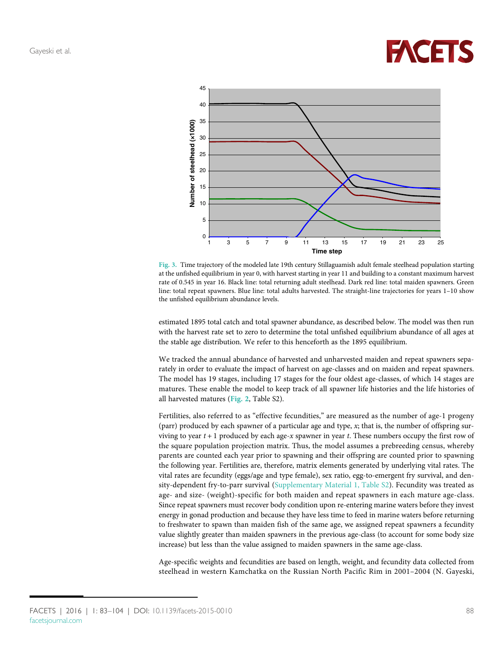

<span id="page-5-0"></span>

Fig. 3. Time trajectory of the modeled late 19th century Stillaguamish adult female steelhead population starting at the unfished equilibrium in year 0, with harvest starting in year 11 and building to a constant maximum harvest rate of 0.545 in year 16. Black line: total returning adult steelhead. Dark red line: total maiden spawners. Green line: total repeat spawners. Blue line: total adults harvested. The straight-line trajectories for years 1–10 show the unfished equilibrium abundance levels.

estimated 1895 total catch and total spawner abundance, as described below. The model was then run with the harvest rate set to zero to determine the total unfished equilibrium abundance of all ages at the stable age distribution. We refer to this henceforth as the 1895 equilibrium.

We tracked the annual abundance of harvested and unharvested maiden and repeat spawners separately in order to evaluate the impact of harvest on age-classes and on maiden and repeat spawners. The model has 19 stages, including 17 stages for the four oldest age-classes, of which 14 stages are matures. These enable the model to keep track of all spawner life histories and the life histories of all harvested matures ([Fig. 2](#page-4-0), Table S2).

Fertilities, also referred to as "effective fecundities," are measured as the number of age-1 progeny (parr) produced by each spawner of a particular age and type, x; that is, the number of offspring surviving to year  $t + 1$  produced by each age-x spawner in year t. These numbers occupy the first row of the square population projection matrix. Thus, the model assumes a prebreeding census, whereby parents are counted each year prior to spawning and their offspring are counted prior to spawning the following year. Fertilities are, therefore, matrix elements generated by underlying vital rates. The vital rates are fecundity (eggs/age and type female), sex ratio, egg-to-emergent fry survival, and density-dependent fry-to-parr survival ([Supplementary Material 1, Table S2\)](#page-18-2). Fecundity was treated as age- and size- (weight)-specific for both maiden and repeat spawners in each mature age-class. Since repeat spawners must recover body condition upon re-entering marine waters before they invest energy in gonad production and because they have less time to feed in marine waters before returning to freshwater to spawn than maiden fish of the same age, we assigned repeat spawners a fecundity value slightly greater than maiden spawners in the previous age-class (to account for some body size increase) but less than the value assigned to maiden spawners in the same age-class.

Age-specific weights and fecundities are based on length, weight, and fecundity data collected from steelhead in western Kamchatka on the Russian North Pacific Rim in 2001–2004 (N. Gayeski,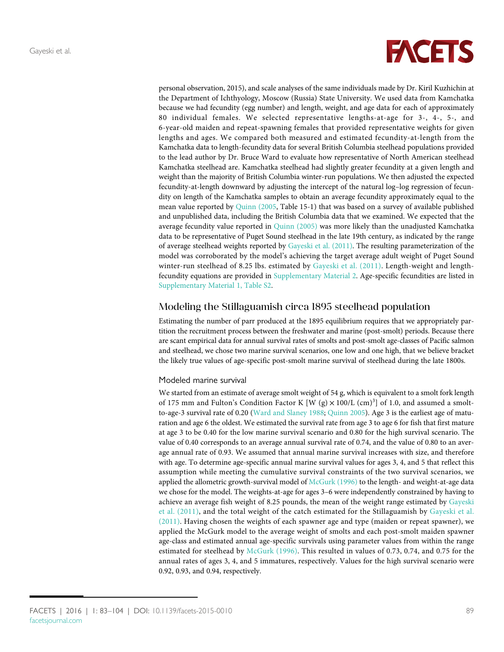

personal observation, 2015), and scale analyses of the same individuals made by Dr. Kiril Kuzhichin at the Department of Ichthyology, Moscow (Russia) State University. We used data from Kamchatka because we had fecundity (egg number) and length, weight, and age data for each of approximately 80 individual females. We selected representative lengths-at-age for 3-, 4-, 5-, and 6-year-old maiden and repeat-spawning females that provided representative weights for given lengths and ages. We compared both measured and estimated fecundity-at-length from the Kamchatka data to length-fecundity data for several British Columbia steelhead populations provided to the lead author by Dr. Bruce Ward to evaluate how representative of North American steelhead Kamchatka steelhead are. Kamchatka steelhead had slightly greater fecundity at a given length and weight than the majority of British Columbia winter-run populations. We then adjusted the expected fecundity-at-length downward by adjusting the intercept of the natural log–log regression of fecundity on length of the Kamchatka samples to obtain an average fecundity approximately equal to the mean value reported by [Quinn \(2005,](#page-20-3) Table 15-1) that was based on a survey of available published and unpublished data, including the British Columbia data that we examined. We expected that the average fecundity value reported in [Quinn \(2005\)](#page-20-3) was more likely than the unadjusted Kamchatka data to be representative of Puget Sound steelhead in the late 19th century, as indicated by the range of average steelhead weights reported by [Gayeski et al. \(2011\)](#page-19-4). The resulting parameterization of the model was corroborated by the model's achieving the target average adult weight of Puget Sound winter-run steelhead of 8.25 lbs. estimated by [Gayeski et al. \(2011\)](#page-19-4). Length-weight and lengthfecundity equations are provided in [Supplementary Material 2.](#page-18-3) Age-specific fecundities are listed in [Supplementary Material 1, Table S2](#page-18-2).

#### Modeling the Stillaguamish circa 1895 steelhead population

Estimating the number of parr produced at the 1895 equilibrium requires that we appropriately partition the recruitment process between the freshwater and marine (post-smolt) periods. Because there are scant empirical data for annual survival rates of smolts and post-smolt age-classes of Pacific salmon and steelhead, we chose two marine survival scenarios, one low and one high, that we believe bracket the likely true values of age-specific post-smolt marine survival of steelhead during the late 1800s.

#### Modeled marine survival

We started from an estimate of average smolt weight of 54 g, which is equivalent to a smolt fork length of 175 mm and Fulton's Condition Factor K [W (g)  $\times$  100/L (cm)<sup>3</sup>] of 1.0, and assumed a smoltto-age-3 survival rate of 0.20 [\(Ward and Slaney 1988;](#page-21-2) [Quinn 2005\)](#page-20-3). Age 3 is the earliest age of maturation and age 6 the oldest. We estimated the survival rate from age 3 to age 6 for fish that first mature at age 3 to be 0.40 for the low marine survival scenario and 0.80 for the high survival scenario. The value of 0.40 corresponds to an average annual survival rate of 0.74, and the value of 0.80 to an average annual rate of 0.93. We assumed that annual marine survival increases with size, and therefore with age. To determine age-specific annual marine survival values for ages 3, 4, and 5 that reflect this assumption while meeting the cumulative survival constraints of the two survival scenarios, we applied the allometric growth-survival model of [McGurk \(1996\)](#page-20-5) to the length- and weight-at-age data we chose for the model. The weights-at-age for ages 3–6 were independently constrained by having to achieve an average fish weight of 8.25 pounds, the mean of the weight range estimated by [Gayeski](#page-19-4) [et al. \(2011\),](#page-19-4) and the total weight of the catch estimated for the Stillaguamish by [Gayeski et al.](#page-19-4) [\(2011\).](#page-19-4) Having chosen the weights of each spawner age and type (maiden or repeat spawner), we applied the McGurk model to the average weight of smolts and each post-smolt maiden spawner age-class and estimated annual age-specific survivals using parameter values from within the range estimated for steelhead by [McGurk \(1996\)](#page-20-5). This resulted in values of 0.73, 0.74, and 0.75 for the annual rates of ages 3, 4, and 5 immatures, respectively. Values for the high survival scenario were 0.92, 0.93, and 0.94, respectively.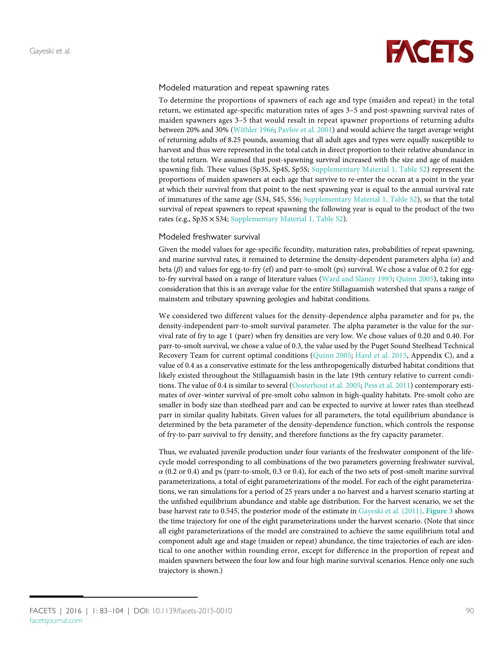

#### Modeled maturation and repeat spawning rates

To determine the proportions of spawners of each age and type (maiden and repeat) in the total return, we estimated age-specific maturation rates of ages 3–5 and post-spawning survival rates of maiden spawners ages 3–5 that would result in repeat spawner proportions of returning adults between 20% and 30% [\(Withler 1966](#page-21-1); [Pavlov et al. 2001\)](#page-20-4) and would achieve the target average weight of returning adults of 8.25 pounds, assuming that all adult ages and types were equally susceptible to harvest and thus were represented in the total catch in direct proportion to their relative abundance in the total return. We assumed that post-spawning survival increased with the size and age of maiden spawning fish. These values (Sp3S, Sp4S, Sp5S; [Supplementary Material 1, Table S2\)](#page-18-2) represent the proportions of maiden spawners at each age that survive to re-enter the ocean at a point in the year at which their survival from that point to the next spawning year is equal to the annual survival rate of immatures of the same age (S34, S45, S56; [Supplementary Material 1, Table S2](#page-18-2)), so that the total survival of repeat spawners to repeat spawning the following year is equal to the product of the two rates (e.g., Sp3S × S34; [Supplementary Material 1, Table S2](#page-18-2)).

#### Modeled freshwater survival

Given the model values for age-specific fecundity, maturation rates, probabilities of repeat spawning, and marine survival rates, it remained to determine the density-dependent parameters alpha  $(\alpha)$  and beta ( $\beta$ ) and values for egg-to-fry (ef) and parr-to-smolt (ps) survival. We chose a value of 0.2 for eggto-fry survival based on a range of literature values ([Ward and Slaney 1993](#page-21-5); [Quinn 2005\)](#page-20-3), taking into consideration that this is an average value for the entire Stillaguamish watershed that spans a range of mainstem and tributary spawning geologies and habitat conditions.

We considered two different values for the density-dependence alpha parameter and for ps, the density-independent parr-to-smolt survival parameter. The alpha parameter is the value for the survival rate of fry to age 1 (parr) when fry densities are very low. We chose values of 0.20 and 0.40. For parr-to-smolt survival, we chose a value of 0.3, the value used by the Puget Sound Steelhead Technical Recovery Team for current optimal conditions [\(Quinn 2005;](#page-20-3) [Hard et al. 2015](#page-19-3), Appendix C), and a value of 0.4 as a conservative estimate for the less anthropogenically disturbed habitat conditions that likely existed throughout the Stillaguamish basin in the late 19th century relative to current conditions. The value of 0.4 is similar to several ([Oosterhout et al. 2005](#page-20-6); [Pess et al. 2011\)](#page-20-7) contemporary estimates of over-winter survival of pre-smolt coho salmon in high-quality habitats. Pre-smolt coho are smaller in body size than steelhead parr and can be expected to survive at lower rates than steelhead parr in similar quality habitats. Given values for all parameters, the total equilibrium abundance is determined by the beta parameter of the density-dependence function, which controls the response of fry-to-parr survival to fry density, and therefore functions as the fry capacity parameter.

Thus, we evaluated juvenile production under four variants of the freshwater component of the lifecycle model corresponding to all combinations of the two parameters governing freshwater survival,  $\alpha$  (0.2 or 0.4) and ps (parr-to-smolt, 0.3 or 0.4), for each of the two sets of post-smolt marine survival parameterizations, a total of eight parameterizations of the model. For each of the eight parameterizations, we ran simulations for a period of 25 years under a no harvest and a harvest scenario starting at the unfished equilibrium abundance and stable age distribution. For the harvest scenario, we set the base harvest rate to 0.545, the posterior mode of the estimate in [Gayeski et al. \(2011\)](#page-19-4). [Figure 3](#page-5-0) shows the time trajectory for one of the eight parameterizations under the harvest scenario. (Note that since all eight parameterizations of the model are constrained to achieve the same equilibrium total and component adult age and stage (maiden or repeat) abundance, the time trajectories of each are identical to one another within rounding error, except for difference in the proportion of repeat and maiden spawners between the four low and four high marine survival scenarios. Hence only one such trajectory is shown.)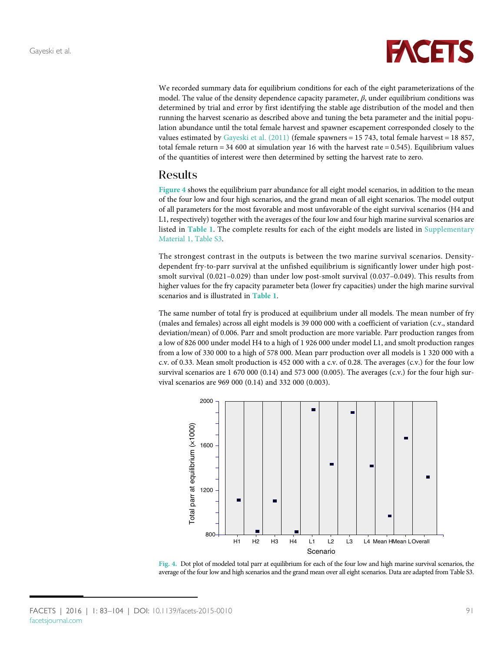

We recorded summary data for equilibrium conditions for each of the eight parameterizations of the model. The value of the density dependence capacity parameter,  $\beta$ , under equilibrium conditions was determined by trial and error by first identifying the stable age distribution of the model and then running the harvest scenario as described above and tuning the beta parameter and the initial population abundance until the total female harvest and spawner escapement corresponded closely to the values estimated by [Gayeski et al. \(2011\)](#page-19-4) (female spawners = 15 743, total female harvest = 18 857, total female return =  $34\,600$  at simulation year 16 with the harvest rate = 0.545). Equilibrium values of the quantities of interest were then determined by setting the harvest rate to zero.

#### Results

[Figure 4](#page-8-0) shows the equilibrium parr abundance for all eight model scenarios, in addition to the mean of the four low and four high scenarios, and the grand mean of all eight scenarios. The model output of all parameters for the most favorable and most unfavorable of the eight survival scenarios (H4 and L1, respectively) together with the averages of the four low and four high marine survival scenarios are listed in [Table 1](#page-9-0). The complete results for each of the eight models are listed in [Supplementary](#page-18-2) [Material 1, Table S3.](#page-18-2)

The strongest contrast in the outputs is between the two marine survival scenarios. Densitydependent fry-to-parr survival at the unfished equilibrium is significantly lower under high postsmolt survival (0.021–0.029) than under low post-smolt survival (0.037–0.049). This results from higher values for the fry capacity parameter beta (lower fry capacities) under the high marine survival scenarios and is illustrated in [Table 1](#page-9-0).

The same number of total fry is produced at equilibrium under all models. The mean number of fry (males and females) across all eight models is 39 000 000 with a coefficient of variation (c.v., standard deviation/mean) of 0.006. Parr and smolt production are more variable. Parr production ranges from a low of 826 000 under model H4 to a high of 1 926 000 under model L1, and smolt production ranges from a low of 330 000 to a high of 578 000. Mean parr production over all models is 1 320 000 with a c.v. of 0.33. Mean smolt production is 452 000 with a c.v. of 0.28. The averages (c.v.) for the four low survival scenarios are  $1\,670\,000\,(0.14)$  and  $573\,000\,(0.005)$ . The averages (c.v.) for the four high survival scenarios are 969 000 (0.14) and 332 000 (0.003).

<span id="page-8-0"></span>

Fig. 4. Dot plot of modeled total parr at equilibrium for each of the four low and high marine survival scenarios, the average of the four low and high scenarios and the grand mean over all eight scenarios. Data are adapted from Table S3.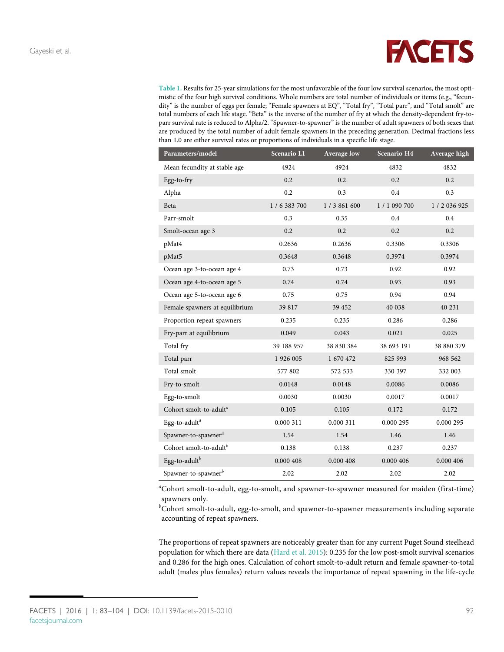# FXCETS

<span id="page-9-0"></span>Table 1. Results for 25-year simulations for the most unfavorable of the four low survival scenarios, the most optimistic of the four high survival conditions. Whole numbers are total number of individuals or items (e.g., "fecundity" is the number of eggs per female; "Female spawners at EQ", "Total fry", "Total parr", and "Total smolt" are total numbers of each life stage. "Beta" is the inverse of the number of fry at which the density-dependent fry-toparr survival rate is reduced to Alpha/2. "Spawner-to-spawner" is the number of adult spawners of both sexes that are produced by the total number of adult female spawners in the preceding generation. Decimal fractions less than 1.0 are either survival rates or proportions of individuals in a specific life stage.

| Parameters/model                   | Scenario L1 | <b>Average low</b> | Scenario H4   | Average high |
|------------------------------------|-------------|--------------------|---------------|--------------|
| Mean fecundity at stable age       | 4924        | 4924               | 4832          | 4832         |
| Egg-to-fry                         | 0.2         | 0.2                | 0.2           | 0.2          |
| Alpha                              | 0.2         | 0.3                | 0.4           | 0.3          |
| Beta                               | 1/6 383 700 | 1/3 861 600        | 1 / 1 090 700 | 1/2 036 925  |
| Parr-smolt                         | 0.3         | 0.35               | 0.4           | 0.4          |
| Smolt-ocean age 3                  | 0.2         | 0.2                | 0.2           | 0.2          |
| pMat4                              | 0.2636      | 0.2636             | 0.3306        | 0.3306       |
| pMat5                              | 0.3648      | 0.3648             | 0.3974        | 0.3974       |
| Ocean age 3-to-ocean age 4         | 0.73        | 0.73               | 0.92          | 0.92         |
| Ocean age 4-to-ocean age 5         | 0.74        | 0.74               | 0.93          | 0.93         |
| Ocean age 5-to-ocean age 6         | 0.75        | 0.75               | 0.94          | 0.94         |
| Female spawners at equilibrium     | 39 817      | 39 452             | 40 038        | 40 231       |
| Proportion repeat spawners         | 0.235       | 0.235              | 0.286         | 0.286        |
| Fry-parr at equilibrium            | 0.049       | 0.043              | 0.021         | 0.025        |
| Total fry                          | 39 188 957  | 38 830 384         | 38 693 191    | 38 880 379   |
| Total parr                         | 1 926 005   | 1 670 472          | 825 993       | 968 562      |
| Total smolt                        | 577 802     | 572 533            | 330 397       | 332 003      |
| Fry-to-smolt                       | 0.0148      | 0.0148             | 0.0086        | 0.0086       |
| Egg-to-smolt                       | 0.0030      | 0.0030             | 0.0017        | 0.0017       |
| Cohort smolt-to-adult <sup>a</sup> | 0.105       | 0.105              | 0.172         | 0.172        |
| Egg-to-adult <sup>a</sup>          | 0.000 311   | 0.000 311          | 0.000 295     | 0.000 295    |
| Spawner-to-spawner <sup>a</sup>    | 1.54        | 1.54               | 1.46          | 1.46         |
| Cohort smolt-to-adult <sup>b</sup> | 0.138       | 0.138              | 0.237         | 0.237        |
| Egg-to-adult <sup>b</sup>          | 0.000 408   | 0.000 408          | 0.000 406     | 0.000 406    |
| Spawner-to-spawner <sup>b</sup>    | 2.02        | 2.02               | 2.02          | 2.02         |

<sup>a</sup>Cohort smolt-to-adult, egg-to-smolt, and spawner-to-spawner measured for maiden (first-time) spawners only.

 $b$ Cohort smolt-to-adult, egg-to-smolt, and spawner-to-spawner measurements including separate accounting of repeat spawners.

The proportions of repeat spawners are noticeably greater than for any current Puget Sound steelhead population for which there are data [\(Hard et al. 2015\)](#page-19-3): 0.235 for the low post-smolt survival scenarios and 0.286 for the high ones. Calculation of cohort smolt-to-adult return and female spawner-to-total adult (males plus females) return values reveals the importance of repeat spawning in the life-cycle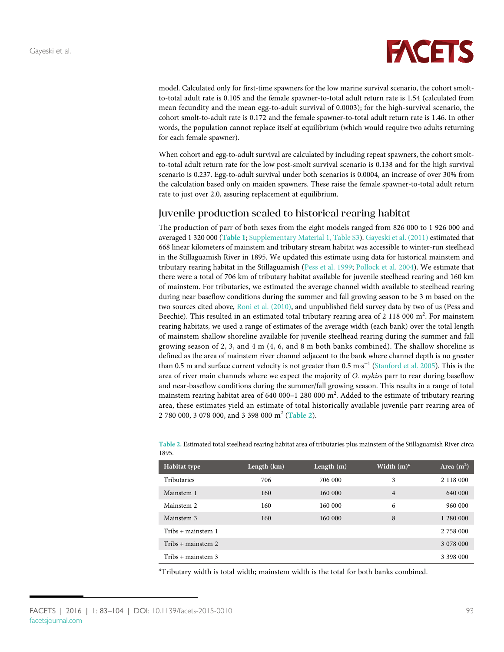

model. Calculated only for first-time spawners for the low marine survival scenario, the cohort smoltto-total adult rate is 0.105 and the female spawner-to-total adult return rate is 1.54 (calculated from mean fecundity and the mean egg-to-adult survival of 0.0003); for the high-survival scenario, the cohort smolt-to-adult rate is 0.172 and the female spawner-to-total adult return rate is 1.46. In other words, the population cannot replace itself at equilibrium (which would require two adults returning for each female spawner).

When cohort and egg-to-adult survival are calculated by including repeat spawners, the cohort smoltto-total adult return rate for the low post-smolt survival scenario is 0.138 and for the high survival scenario is 0.237. Egg-to-adult survival under both scenarios is 0.0004, an increase of over 30% from the calculation based only on maiden spawners. These raise the female spawner-to-total adult return rate to just over 2.0, assuring replacement at equilibrium.

#### Juvenile production scaled to historical rearing habitat

The production of parr of both sexes from the eight models ranged from 826 000 to 1 926 000 and averaged 1 320 000 ([Table 1](#page-9-0); [Supplementary Material 1, Table S3\)](#page-18-2). [Gayeski et al. \(2011\)](#page-19-4) estimated that 668 linear kilometers of mainstem and tributary stream habitat was accessible to winter-run steelhead in the Stillaguamish River in 1895. We updated this estimate using data for historical mainstem and tributary rearing habitat in the Stillaguamish ([Pess et al. 1999](#page-20-8); [Pollock et al. 2004\)](#page-20-9). We estimate that there were a total of 706 km of tributary habitat available for juvenile steelhead rearing and 160 km of mainstem. For tributaries, we estimated the average channel width available to steelhead rearing during near baseflow conditions during the summer and fall growing season to be 3 m based on the two sources cited above, [Roni et al. \(2010\),](#page-20-2) and unpublished field survey data by two of us (Pess and Beechie). This resulted in an estimated total tributary rearing area of 2 118 000  $\mathrm{m}^2$ . For mainstem rearing habitats, we used a range of estimates of the average width (each bank) over the total length of mainstem shallow shoreline available for juvenile steelhead rearing during the summer and fall growing season of 2, 3, and 4 m (4, 6, and 8 m both banks combined). The shallow shoreline is defined as the area of mainstem river channel adjacent to the bank where channel depth is no greater than 0.5 m and surface current velocity is not greater than 0.5 m⋅s<sup>-1</sup> ([Stanford et al. 2005\)](#page-21-6). This is the area of river main channels where we expect the majority of O. mykiss parr to rear during baseflow and near-baseflow conditions during the summer/fall growing season. This results in a range of total mainstem rearing habitat area of 640 000-1 280 000 m<sup>2</sup>. Added to the estimate of tributary rearing area, these estimates yield an estimate of total historically available juvenile parr rearing area of 2 780 000, 3 078 000, and 3 398 000 m<sup>2</sup> ([Table 2](#page-10-0)).

| Habitat type       | Length (km) | Length $(m)$ | Width $(m)^a$  | Area $(m2)$ |
|--------------------|-------------|--------------|----------------|-------------|
| Tributaries        | 706         | 706 000      | 3              | 2 118 000   |
| Mainstem 1         | 160         | 160 000      | $\overline{4}$ | 640 000     |
| Mainstem 2         | 160         | 160 000      | 6              | 960 000     |
| Mainstem 3         | 160         | 160 000      | 8              | 1 280 000   |
| Tribs + mainstem 1 |             |              |                | 2 758 000   |
| Tribs + mainstem 2 |             |              |                | 3 078 000   |
| Tribs + mainstem 3 |             |              |                | 3 398 000   |

<span id="page-10-0"></span>Table 2. Estimated total steelhead rearing habitat area of tributaries plus mainstem of the Stillaguamish River circa 1895.

<sup>a</sup>Tributary width is total width; mainstem width is the total for both banks combined.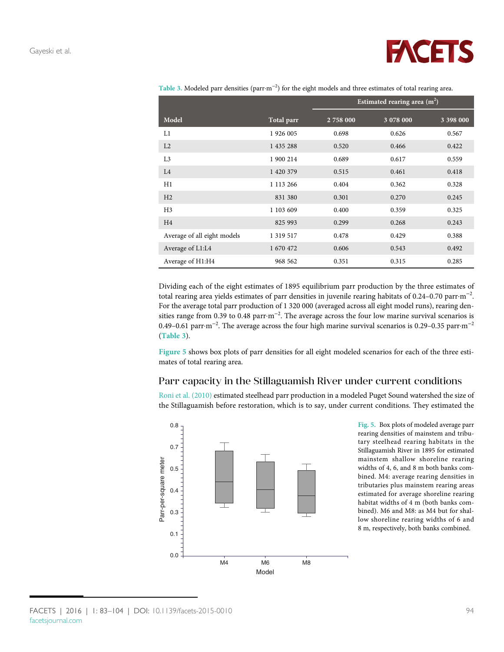

|                             |               | Estimated rearing area $(m2)$ |           |           |
|-----------------------------|---------------|-------------------------------|-----------|-----------|
| Model                       | Total parr    | 2 758 000                     | 3 078 000 | 3 398 000 |
| L1                          | 1 926 005     | 0.698                         | 0.626     | 0.567     |
| L <sub>2</sub>              | 1 435 288     | 0.520                         | 0.466     | 0.422     |
| L <sub>3</sub>              | 1 900 214     | 0.689                         | 0.617     | 0.559     |
| L4                          | 1 420 379     | 0.515                         | 0.461     | 0.418     |
| H1                          | 1 113 266     | 0.404                         | 0.362     | 0.328     |
| H <sub>2</sub>              | 831 380       | 0.301                         | 0.270     | 0.245     |
| H <sub>3</sub>              | 1 103 609     | 0.400                         | 0.359     | 0.325     |
| H <sub>4</sub>              | 825 993       | 0.299                         | 0.268     | 0.243     |
| Average of all eight models | 1 3 1 9 5 1 7 | 0.478                         | 0.429     | 0.388     |
| Average of L1:L4            | 1 670 472     | 0.606                         | 0.543     | 0.492     |
| Average of H1:H4            | 968 562       | 0.351                         | 0.315     | 0.285     |

<span id="page-11-0"></span>Table 3. Modeled parr densities (parr·m<sup>-2</sup>) for the eight models and three estimates of total rearing area.

Dividing each of the eight estimates of 1895 equilibrium parr production by the three estimates of total rearing area yields estimates of parr densities in juvenile rearing habitats of 0.24–0.70 parr·m<sup>−</sup><sup>2</sup> . For the average total parr production of 1 320 000 (averaged across all eight model runs), rearing densities range from 0.39 to 0.48 parr·m<sup>-2</sup>. The average across the four low marine survival scenarios is 0.49–0.61 parr·m<sup>−</sup><sup>2</sup> . The average across the four high marine survival scenarios is 0.29–0.35 parr·m<sup>−</sup><sup>2</sup> ([Table 3](#page-11-0)).

[Figure 5](#page-11-1) shows box plots of parr densities for all eight modeled scenarios for each of the three estimates of total rearing area.

#### Parr capacity in the Stillaguamish River under current conditions

[Roni et al. \(2010\)](#page-20-2) estimated steelhead parr production in a modeled Puget Sound watershed the size of the Stillaguamish before restoration, which is to say, under current conditions. They estimated the

<span id="page-11-1"></span>

Fig. 5. Box plots of modeled average parr rearing densities of mainstem and tributary steelhead rearing habitats in the Stillaguamish River in 1895 for estimated mainstem shallow shoreline rearing widths of 4, 6, and 8 m both banks combined. M4: average rearing densities in tributaries plus mainstem rearing areas estimated for average shoreline rearing habitat widths of 4 m (both banks combined). M6 and M8: as M4 but for shallow shoreline rearing widths of 6 and 8 m, respectively, both banks combined.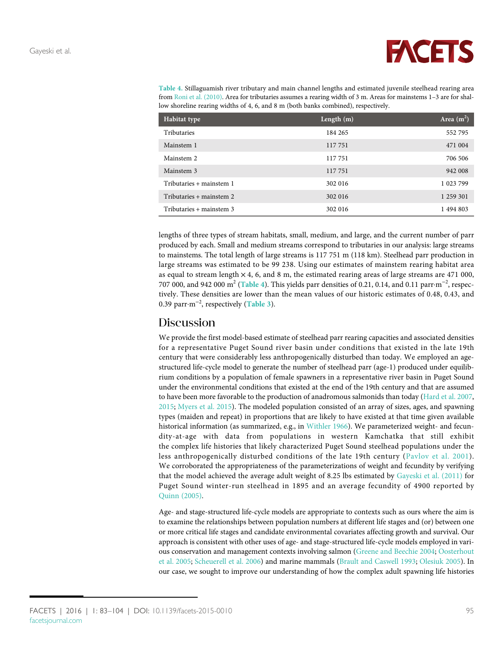<span id="page-12-0"></span>Table 4. Stillaguamish river tributary and main channel lengths and estimated juvenile steelhead rearing area from [Roni et al. \(2010\).](#page-20-2) Area for tributaries assumes a rearing width of 3 m. Areas for mainstems 1–3 are for shallow shoreline rearing widths of 4, 6, and 8 m (both banks combined), respectively.

| Habitat type             | Length $(m)$ | Area $(m2)$ |
|--------------------------|--------------|-------------|
| <b>Tributaries</b>       | 184 265      | 552 795     |
| Mainstem 1               | 117 751      | 471 004     |
| Mainstem 2               | 117 751      | 706 506     |
| Mainstem 3               | 117 751      | 942 008     |
| Tributaries + mainstem 1 | 302 016      | 1 023 799   |
| Tributaries + mainstem 2 | 302 016      | 1 259 301   |
| Tributaries + mainstem 3 | 302 016      | 1 494 803   |

lengths of three types of stream habitats, small, medium, and large, and the current number of parr produced by each. Small and medium streams correspond to tributaries in our analysis: large streams to mainstems. The total length of large streams is 117 751 m (118 km). Steelhead parr production in large streams was estimated to be 99 238. Using our estimates of mainstem rearing habitat area as equal to stream length  $\times$  4, 6, and 8 m, the estimated rearing areas of large streams are 471 000, 707 000, and 942 000 m<sup>2</sup> ([Table 4](#page-12-0)). This yields parr densities of 0.21, 0.14, and 0.11 parr·m<sup>-2</sup>, respectively. These densities are lower than the mean values of our historic estimates of 0.48, 0.43, and 0.39 parr·m<sup>−</sup><sup>2</sup> , respectively ([Table 3](#page-11-0)).

## Discussion

We provide the first model-based estimate of steelhead parr rearing capacities and associated densities for a representative Puget Sound river basin under conditions that existed in the late 19th century that were considerably less anthropogenically disturbed than today. We employed an agestructured life-cycle model to generate the number of steelhead parr (age-1) produced under equilibrium conditions by a population of female spawners in a representative river basin in Puget Sound under the environmental conditions that existed at the end of the 19th century and that are assumed to have been more favorable to the production of anadromous salmonids than today [\(Hard et al. 2007,](#page-19-2) [2015](#page-19-3); [Myers et al. 2015\)](#page-20-1). The modeled population consisted of an array of sizes, ages, and spawning types (maiden and repeat) in proportions that are likely to have existed at that time given available historical information (as summarized, e.g., in [Withler 1966\)](#page-21-1). We parameterized weight- and fecundity-at-age with data from populations in western Kamchatka that still exhibit the complex life histories that likely characterized Puget Sound steelhead populations under the less anthropogenically disturbed conditions of the late 19th century ([Pavlov et al. 2001](#page-20-4)). We corroborated the appropriateness of the parameterizations of weight and fecundity by verifying that the model achieved the average adult weight of 8.25 lbs estimated by [Gayeski et al. \(2011\)](#page-19-4) for Puget Sound winter-run steelhead in 1895 and an average fecundity of 4900 reported by [Quinn \(2005\)](#page-20-3).

Age- and stage-structured life-cycle models are appropriate to contexts such as ours where the aim is to examine the relationships between population numbers at different life stages and (or) between one or more critical life stages and candidate environmental covariates affecting growth and survival. Our approach is consistent with other uses of age- and stage-structured life-cycle models employed in various conservation and management contexts involving salmon ([Greene and Beechie 2004](#page-19-7); [Oosterhout](#page-20-6) [et al. 2005;](#page-20-6) [Scheuerell et al. 2006\)](#page-21-7) and marine mammals [\(Brault and Caswell 1993](#page-19-8); [Olesiuk 2005\)](#page-20-10). In our case, we sought to improve our understanding of how the complex adult spawning life histories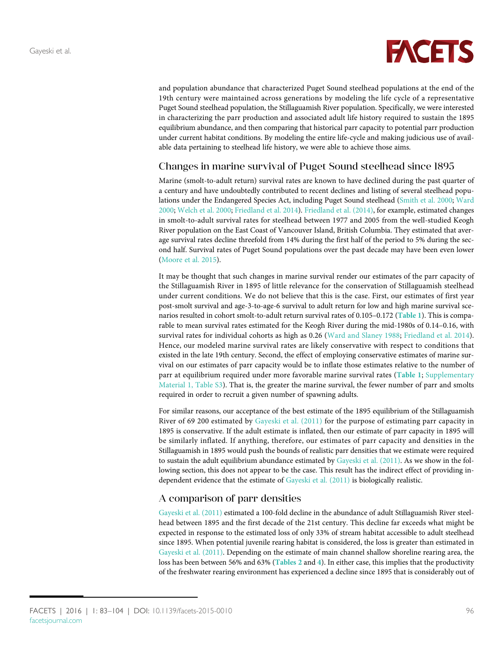

and population abundance that characterized Puget Sound steelhead populations at the end of the 19th century were maintained across generations by modeling the life cycle of a representative Puget Sound steelhead population, the Stillaguamish River population. Specifically, we were interested in characterizing the parr production and associated adult life history required to sustain the 1895 equilibrium abundance, and then comparing that historical parr capacity to potential parr production under current habitat conditions. By modeling the entire life-cycle and making judicious use of available data pertaining to steelhead life history, we were able to achieve those aims.

#### Changes in marine survival of Puget Sound steelhead since 1895

Marine (smolt-to-adult return) survival rates are known to have declined during the past quarter of a century and have undoubtedly contributed to recent declines and listing of several steelhead populations under the Endangered Species Act, including Puget Sound steelhead ([Smith et al. 2000;](#page-21-8) [Ward](#page-21-9) [2000](#page-21-9); [Welch et al. 2000;](#page-21-10) [Friedland et al. 2014](#page-19-6)). [Friedland et al. \(2014\)](#page-19-6), for example, estimated changes in smolt-to-adult survival rates for steelhead between 1977 and 2005 from the well-studied Keogh River population on the East Coast of Vancouver Island, British Columbia. They estimated that average survival rates decline threefold from 14% during the first half of the period to 5% during the second half. Survival rates of Puget Sound populations over the past decade may have been even lower [\(Moore et al. 2015](#page-20-11)).

It may be thought that such changes in marine survival render our estimates of the parr capacity of the Stillaguamish River in 1895 of little relevance for the conservation of Stillaguamish steelhead under current conditions. We do not believe that this is the case. First, our estimates of first year post-smolt survival and age-3-to-age-6 survival to adult return for low and high marine survival sce-narios resulted in cohort smolt-to-adult return survival rates of 0.105–0.172 ([Table 1](#page-9-0)). This is comparable to mean survival rates estimated for the Keogh River during the mid-1980s of 0.14–0.16, with survival rates for individual cohorts as high as 0.26 ([Ward and Slaney 1988;](#page-21-2) [Friedland et al. 2014\)](#page-19-6). Hence, our modeled marine survival rates are likely conservative with respect to conditions that existed in the late 19th century. Second, the effect of employing conservative estimates of marine survival on our estimates of parr capacity would be to inflate those estimates relative to the number of parr at equilibrium required under more favorable marine survival rates ([Table 1](#page-9-0); [Supplementary](#page-18-2) [Material 1, Table S3](#page-18-2)). That is, the greater the marine survival, the fewer number of parr and smolts required in order to recruit a given number of spawning adults.

For similar reasons, our acceptance of the best estimate of the 1895 equilibrium of the Stillaguamish River of 69 200 estimated by [Gayeski et al. \(2011\)](#page-19-4) for the purpose of estimating parr capacity in 1895 is conservative. If the adult estimate is inflated, then our estimate of parr capacity in 1895 will be similarly inflated. If anything, therefore, our estimates of parr capacity and densities in the Stillaguamish in 1895 would push the bounds of realistic parr densities that we estimate were required to sustain the adult equilibrium abundance estimated by [Gayeski et al. \(2011\)](#page-19-4). As we show in the following section, this does not appear to be the case. This result has the indirect effect of providing independent evidence that the estimate of [Gayeski et al. \(2011\)](#page-19-4) is biologically realistic.

#### A comparison of parr densities

[Gayeski et al. \(2011\)](#page-19-4) estimated a 100-fold decline in the abundance of adult Stillaguamish River steelhead between 1895 and the first decade of the 21st century. This decline far exceeds what might be expected in response to the estimated loss of only 33% of stream habitat accessible to adult steelhead since 1895. When potential juvenile rearing habitat is considered, the loss is greater than estimated in [Gayeski et al. \(2011\).](#page-19-4) Depending on the estimate of main channel shallow shoreline rearing area, the loss has been between 56% and 63% ([Tables 2](#page-10-0) and [4](#page-12-0)). In either case, this implies that the productivity of the freshwater rearing environment has experienced a decline since 1895 that is considerably out of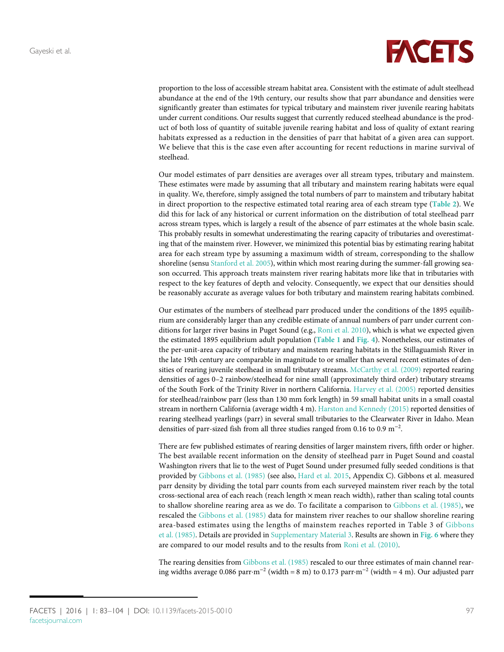

proportion to the loss of accessible stream habitat area. Consistent with the estimate of adult steelhead abundance at the end of the 19th century, our results show that parr abundance and densities were significantly greater than estimates for typical tributary and mainstem river juvenile rearing habitats under current conditions. Our results suggest that currently reduced steelhead abundance is the product of both loss of quantity of suitable juvenile rearing habitat and loss of quality of extant rearing habitats expressed as a reduction in the densities of parr that habitat of a given area can support. We believe that this is the case even after accounting for recent reductions in marine survival of steelhead.

Our model estimates of parr densities are averages over all stream types, tributary and mainstem. These estimates were made by assuming that all tributary and mainstem rearing habitats were equal in quality. We, therefore, simply assigned the total numbers of parr to mainstem and tributary habitat in direct proportion to the respective estimated total rearing area of each stream type ([Table 2](#page-10-0)). We did this for lack of any historical or current information on the distribution of total steelhead parr across stream types, which is largely a result of the absence of parr estimates at the whole basin scale. This probably results in somewhat underestimating the rearing capacity of tributaries and overestimating that of the mainstem river. However, we minimized this potential bias by estimating rearing habitat area for each stream type by assuming a maximum width of stream, corresponding to the shallow shoreline (sensu [Stanford et al. 2005\)](#page-21-6), within which most rearing during the summer-fall growing season occurred. This approach treats mainstem river rearing habitats more like that in tributaries with respect to the key features of depth and velocity. Consequently, we expect that our densities should be reasonably accurate as average values for both tributary and mainstem rearing habitats combined.

Our estimates of the numbers of steelhead parr produced under the conditions of the 1895 equilibrium are considerably larger than any credible estimate of annual numbers of parr under current conditions for larger river basins in Puget Sound (e.g., [Roni et al. 2010](#page-20-2)), which is what we expected given the estimated 1895 equilibrium adult population ([Table 1](#page-9-0) and [Fig. 4](#page-8-0)). Nonetheless, our estimates of the per-unit-area capacity of tributary and mainstem rearing habitats in the Stillaguamish River in the late 19th century are comparable in magnitude to or smaller than several recent estimates of den-sities of rearing juvenile steelhead in small tributary streams. [McCarthy et al. \(2009\)](#page-19-9) reported rearing densities of ages 0–2 rainbow/steelhead for nine small (approximately third order) tributary streams of the South Fork of the Trinity River in northern California. [Harvey et al. \(2005\)](#page-19-10) reported densities for steelhead/rainbow parr (less than 130 mm fork length) in 59 small habitat units in a small coastal stream in northern California (average width 4 m). [Harston and Kennedy \(2015\)](#page-19-11) reported densities of rearing steelhead yearlings (parr) in several small tributaries to the Clearwater River in Idaho. Mean densities of parr-sized fish from all three studies ranged from 0.16 to 0.9 m<sup>-2</sup>.

There are few published estimates of rearing densities of larger mainstem rivers, fifth order or higher. The best available recent information on the density of steelhead parr in Puget Sound and coastal Washington rivers that lie to the west of Puget Sound under presumed fully seeded conditions is that provided by [Gibbons et al. \(1985\)](#page-19-12) (see also, [Hard et al. 2015,](#page-19-3) Appendix C). Gibbons et al. measured parr density by dividing the total parr counts from each surveyed mainstem river reach by the total cross-sectional area of each reach (reach length × mean reach width), rather than scaling total counts to shallow shoreline rearing area as we do. To facilitate a comparison to [Gibbons et al. \(1985\),](#page-19-12) we rescaled the [Gibbons et al. \(1985\)](#page-19-12) data for mainstem river reaches to our shallow shoreline rearing area-based estimates using the lengths of mainstem reaches reported in Table 3 of [Gibbons](#page-19-12) [et al. \(1985\)](#page-19-12). Details are provided in [Supplementary Material 3](#page-18-4). Results are shown in [Fig. 6](#page-15-0) where they are compared to our model results and to the results from [Roni et al. \(2010\).](#page-20-2)

The rearing densities from [Gibbons et al. \(1985\)](#page-19-12) rescaled to our three estimates of main channel rearing widths average 0.086 parr·m<sup>−</sup><sup>2</sup> (width = 8 m) to 0.173 parr·m<sup>−</sup><sup>2</sup> (width = 4 m). Our adjusted parr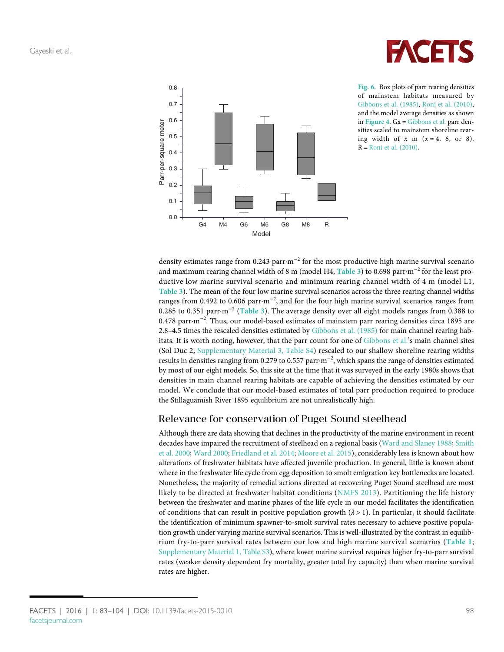

Fig. 6. Box plots of parr rearing densities of mainstem habitats measured by [Gibbons et al. \(1985\),](#page-19-12) [Roni et al. \(2010\)](#page-20-2), and the model average densities as shown in [Figure 4](#page-8-0).  $Gx = Gibbons$  et al. parr densities scaled to mainstem shoreline rearing width of  $x \in (x = 4, 6, \text{or } 8)$ .  $R =$ [Roni et al. \(2010\).](#page-20-2)



#### Relevance for conservation of Puget Sound steelhead

Although there are data showing that declines in the productivity of the marine environment in recent decades have impaired the recruitment of steelhead on a regional basis ([Ward and Slaney 1988](#page-21-2); [Smith](#page-21-8) [et al. 2000;](#page-21-8) [Ward 2000](#page-21-9); [Friedland et al. 2014;](#page-19-6) [Moore et al. 2015](#page-20-11)), considerably less is known about how alterations of freshwater habitats have affected juvenile production. In general, little is known about where in the freshwater life cycle from egg deposition to smolt emigration key bottlenecks are located. Nonetheless, the majority of remedial actions directed at recovering Puget Sound steelhead are most likely to be directed at freshwater habitat conditions ([NMFS 2013\)](#page-20-12). Partitioning the life history between the freshwater and marine phases of the life cycle in our model facilitates the identification of conditions that can result in positive population growth  $(\lambda > 1)$ . In particular, it should facilitate the identification of minimum spawner-to-smolt survival rates necessary to achieve positive population growth under varying marine survival scenarios. This is well-illustrated by the contrast in equilibrium fry-to-parr survival rates between our low and high marine survival scenarios ([Table 1](#page-9-0); [Supplementary Material 1, Table S3\)](#page-18-2), where lower marine survival requires higher fry-to-parr survival rates (weaker density dependent fry mortality, greater total fry capacity) than when marine survival rates are higher.

0.2 0.3

<span id="page-15-0"></span>0.4 0.5 0.6 0.7 0.8

Parr-per-square meter

Parr-per-square meter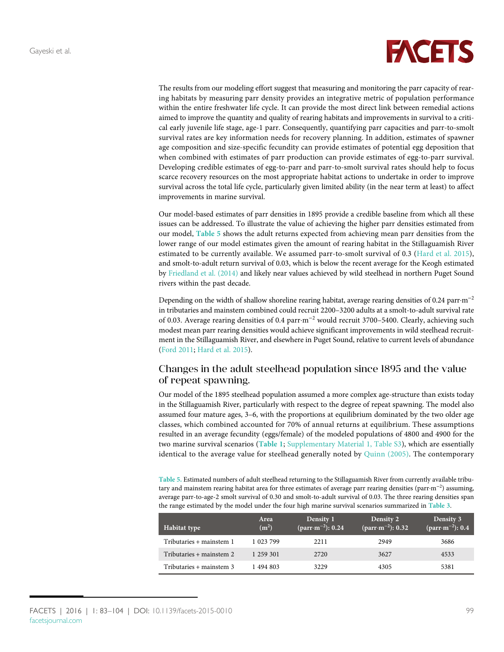

The results from our modeling effort suggest that measuring and monitoring the parr capacity of rearing habitats by measuring parr density provides an integrative metric of population performance within the entire freshwater life cycle. It can provide the most direct link between remedial actions aimed to improve the quantity and quality of rearing habitats and improvements in survival to a critical early juvenile life stage, age-1 parr. Consequently, quantifying parr capacities and parr-to-smolt survival rates are key information needs for recovery planning. In addition, estimates of spawner age composition and size-specific fecundity can provide estimates of potential egg deposition that when combined with estimates of parr production can provide estimates of egg-to-parr survival. Developing credible estimates of egg-to-parr and parr-to-smolt survival rates should help to focus scarce recovery resources on the most appropriate habitat actions to undertake in order to improve survival across the total life cycle, particularly given limited ability (in the near term at least) to affect improvements in marine survival.

Our model-based estimates of parr densities in 1895 provide a credible baseline from which all these issues can be addressed. To illustrate the value of achieving the higher parr densities estimated from our model, [Table 5](#page-16-0) shows the adult returns expected from achieving mean parr densities from the lower range of our model estimates given the amount of rearing habitat in the Stillaguamish River estimated to be currently available. We assumed parr-to-smolt survival of 0.3 [\(Hard et al. 2015](#page-19-3)), and smolt-to-adult return survival of 0.03, which is below the recent average for the Keogh estimated by [Friedland et al. \(2014\)](#page-19-6) and likely near values achieved by wild steelhead in northern Puget Sound rivers within the past decade.

Depending on the width of shallow shoreline rearing habitat, average rearing densities of 0.24 parr·m<sup>-2</sup> in tributaries and mainstem combined could recruit 2200–3200 adults at a smolt-to-adult survival rate of 0.03. Average rearing densities of 0.4 parr·m<sup>−</sup><sup>2</sup> would recruit 3700–5400. Clearly, achieving such modest mean parr rearing densities would achieve significant improvements in wild steelhead recruitment in the Stillaguamish River, and elsewhere in Puget Sound, relative to current levels of abundance [\(Ford 2011](#page-19-5); [Hard et al. 2015](#page-19-3)).

#### Changes in the adult steelhead population since 1895 and the value of repeat spawning.

Our model of the 1895 steelhead population assumed a more complex age-structure than exists today in the Stillaguamish River, particularly with respect to the degree of repeat spawning. The model also assumed four mature ages, 3–6, with the proportions at equilibrium dominated by the two older age classes, which combined accounted for 70% of annual returns at equilibrium. These assumptions resulted in an average fecundity (eggs/female) of the modeled populations of 4800 and 4900 for the two marine survival scenarios ([Table 1](#page-9-0); [Supplementary Material 1, Table S3](#page-18-2)), which are essentially identical to the average value for steelhead generally noted by [Quinn \(2005\).](#page-20-3) The contemporary

<span id="page-16-0"></span>Table 5. Estimated numbers of adult steelhead returning to the Stillaguamish River from currently available tributary and mainstem rearing habitat area for three estimates of average parr rearing densities (parr·m<sup>-2</sup>) assuming, average parr-to-age-2 smolt survival of 0.30 and smolt-to-adult survival of 0.03. The three rearing densities span the range estimated by the model under the four high marine survival scenarios summarized in [Table 3](#page-11-0).

| Habitat type             | Area<br>$(m^2)$ | Density 1<br>$(parr·m-2)$ : 0.24 | Density 2<br>(parr $\cdot$ m <sup>-2</sup> ): 0.32 | Density 3<br>(parr $\cdot$ m <sup>-2</sup> ): 0.4 |
|--------------------------|-----------------|----------------------------------|----------------------------------------------------|---------------------------------------------------|
| Tributaries + mainstem 1 | 1 023 799       | 2211                             | 2949                                               | 3686                                              |
| Tributaries + mainstem 2 | 1 259 301       | 2720                             | 3627                                               | 4533                                              |
| Tributaries + mainstem 3 | 1 494 803       | 3229                             | 4305                                               | 5381                                              |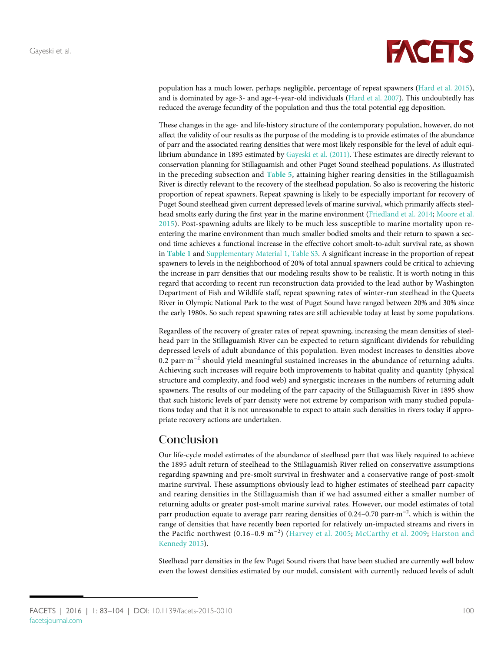

population has a much lower, perhaps negligible, percentage of repeat spawners [\(Hard et al. 2015\)](#page-19-3), and is dominated by age-3- and age-4-year-old individuals [\(Hard et al. 2007\)](#page-19-2). This undoubtedly has reduced the average fecundity of the population and thus the total potential egg deposition.

These changes in the age- and life-history structure of the contemporary population, however, do not affect the validity of our results as the purpose of the modeling is to provide estimates of the abundance of parr and the associated rearing densities that were most likely responsible for the level of adult equilibrium abundance in 1895 estimated by [Gayeski et al. \(2011\).](#page-19-4) These estimates are directly relevant to conservation planning for Stillaguamish and other Puget Sound steelhead populations. As illustrated in the preceding subsection and [Table 5](#page-16-0), attaining higher rearing densities in the Stillaguamish River is directly relevant to the recovery of the steelhead population. So also is recovering the historic proportion of repeat spawners. Repeat spawning is likely to be especially important for recovery of Puget Sound steelhead given current depressed levels of marine survival, which primarily affects steelhead smolts early during the first year in the marine environment [\(Friedland et al. 2014;](#page-19-6) [Moore et al.](#page-20-11) [2015](#page-20-11)). Post-spawning adults are likely to be much less susceptible to marine mortality upon reentering the marine environment than much smaller bodied smolts and their return to spawn a second time achieves a functional increase in the effective cohort smolt-to-adult survival rate, as shown in [Table 1](#page-9-0) and [Supplementary Material 1, Table S3.](#page-18-2) A significant increase in the proportion of repeat spawners to levels in the neighborhood of 20% of total annual spawners could be critical to achieving the increase in parr densities that our modeling results show to be realistic. It is worth noting in this regard that according to recent run reconstruction data provided to the lead author by Washington Department of Fish and Wildlife staff, repeat spawning rates of winter-run steelhead in the Queets River in Olympic National Park to the west of Puget Sound have ranged between 20% and 30% since the early 1980s. So such repeat spawning rates are still achievable today at least by some populations.

Regardless of the recovery of greater rates of repeat spawning, increasing the mean densities of steelhead parr in the Stillaguamish River can be expected to return significant dividends for rebuilding depressed levels of adult abundance of this population. Even modest increases to densities above 0.2 parr·m<sup>−</sup><sup>2</sup> should yield meaningful sustained increases in the abundance of returning adults. Achieving such increases will require both improvements to habitat quality and quantity (physical structure and complexity, and food web) and synergistic increases in the numbers of returning adult spawners. The results of our modeling of the parr capacity of the Stillaguamish River in 1895 show that such historic levels of parr density were not extreme by comparison with many studied populations today and that it is not unreasonable to expect to attain such densities in rivers today if appropriate recovery actions are undertaken.

## Conclusion

Our life-cycle model estimates of the abundance of steelhead parr that was likely required to achieve the 1895 adult return of steelhead to the Stillaguamish River relied on conservative assumptions regarding spawning and pre-smolt survival in freshwater and a conservative range of post-smolt marine survival. These assumptions obviously lead to higher estimates of steelhead parr capacity and rearing densities in the Stillaguamish than if we had assumed either a smaller number of returning adults or greater post-smolt marine survival rates. However, our model estimates of total parr production equate to average parr rearing densities of 0.24–0.70 parr·m<sup>−</sup><sup>2</sup> , which is within the range of densities that have recently been reported for relatively un-impacted streams and rivers in the Pacific northwest (0.16–0.9 m<sup>−</sup><sup>2</sup> ) ([Harvey et al. 2005;](#page-19-10) [McCarthy et al. 2009](#page-19-9); [Harston and](#page-19-11) [Kennedy 2015\)](#page-19-11).

Steelhead parr densities in the few Puget Sound rivers that have been studied are currently well below even the lowest densities estimated by our model, consistent with currently reduced levels of adult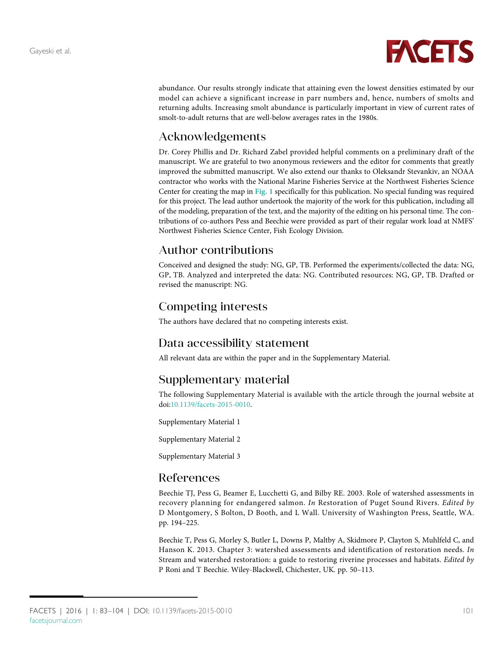

abundance. Our results strongly indicate that attaining even the lowest densities estimated by our model can achieve a significant increase in parr numbers and, hence, numbers of smolts and returning adults. Increasing smolt abundance is particularly important in view of current rates of smolt-to-adult returns that are well-below averages rates in the 1980s.

## Acknowledgements

Dr. Corey Phillis and Dr. Richard Zabel provided helpful comments on a preliminary draft of the manuscript. We are grateful to two anonymous reviewers and the editor for comments that greatly improved the submitted manuscript. We also extend our thanks to Oleksandr Stevankiv, an NOAA contractor who works with the National Marine Fisheries Service at the Northwest Fisheries Science Center for creating the map in [Fig. 1](#page-2-0) specifically for this publication. No special funding was required for this project. The lead author undertook the majority of the work for this publication, including all of the modeling, preparation of the text, and the majority of the editing on his personal time. The contributions of co-authors Pess and Beechie were provided as part of their regular work load at NMFS' Northwest Fisheries Science Center, Fish Ecology Division.

## Author contributions

Conceived and designed the study: NG, GP, TB. Performed the experiments/collected the data: NG, GP, TB. Analyzed and interpreted the data: NG. Contributed resources: NG, GP, TB. Drafted or revised the manuscript: NG.

## Competing interests

The authors have declared that no competing interests exist.

## Data accessibility statement

All relevant data are within the paper and in the Supplementary Material.

## Supplementary material

The following Supplementary Material is available with the article through the journal website at doi[:10.1139/facets-2015-0010](http://dx.doi.org/10.1139/facets-2015-0010).

<span id="page-18-2"></span>Supplementary Material 1

<span id="page-18-3"></span>Supplementary Material 2

<span id="page-18-4"></span>Supplementary Material 3

## References

<span id="page-18-0"></span>Beechie TJ, Pess G, Beamer E, Lucchetti G, and Bilby RE. 2003. Role of watershed assessments in recovery planning for endangered salmon. In Restoration of Puget Sound Rivers. Edited by D Montgomery, S Bolton, D Booth, and L Wall. University of Washington Press, Seattle, WA. pp. 194–225.

<span id="page-18-1"></span>Beechie T, Pess G, Morley S, Butler L, Downs P, Maltby A, Skidmore P, Clayton S, Muhlfeld C, and Hanson K. 2013. Chapter 3: watershed assessments and identification of restoration needs. In Stream and watershed restoration: a guide to restoring riverine processes and habitats. Edited by P Roni and T Beechie. Wiley-Blackwell, Chichester, UK. pp. 50–113.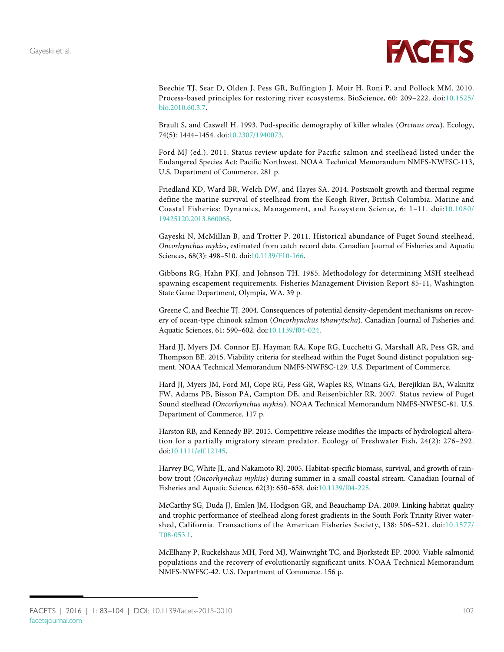Gayeski et al.



<span id="page-19-1"></span>Beechie TJ, Sear D, Olden J, Pess GR, Buffington J, Moir H, Roni P, and Pollock MM. 2010. Process-based principles for restoring river ecosystems. BioScience, 60: 209–222. doi[:10.1525/](http://dx.doi.org/10.1525/bio.2010.60.3.7) [bio.2010.60.3.7.](http://dx.doi.org/10.1525/bio.2010.60.3.7)

<span id="page-19-8"></span>Brault S, and Caswell H. 1993. Pod-specific demography of killer whales (Orcinus orca). Ecology, 74(5): 1444–1454. doi[:10.2307/1940073.](http://dx.doi.org/10.2307/1940073)

<span id="page-19-5"></span>Ford MJ (ed.). 2011. Status review update for Pacific salmon and steelhead listed under the Endangered Species Act: Pacific Northwest. NOAA Technical Memorandum NMFS-NWFSC-113, U.S. Department of Commerce. 281 p.

<span id="page-19-6"></span>Friedland KD, Ward BR, Welch DW, and Hayes SA. 2014. Postsmolt growth and thermal regime define the marine survival of steelhead from the Keogh River, British Columbia. Marine and Coastal Fisheries: Dynamics, Management, and Ecosystem Science, 6: 1–11. doi:[10.1080/](http://dx.doi.org/10.1080/19425120.2013.860065) [19425120.2013.860065](http://dx.doi.org/10.1080/19425120.2013.860065).

<span id="page-19-4"></span>Gayeski N, McMillan B, and Trotter P. 2011. Historical abundance of Puget Sound steelhead, Oncorhynchus mykiss, estimated from catch record data. Canadian Journal of Fisheries and Aquatic Sciences, 68(3): 498-510. doi[:10.1139/F10-166.](http://dx.doi.org/10.1139/F10-166)

<span id="page-19-12"></span>Gibbons RG, Hahn PKJ, and Johnson TH. 1985. Methodology for determining MSH steelhead spawning escapement requirements. Fisheries Management Division Report 85-11, Washington State Game Department, Olympia, WA. 39 p.

<span id="page-19-7"></span>Greene C, and Beechie TJ. 2004. Consequences of potential density-dependent mechanisms on recovery of ocean-type chinook salmon (Oncorhynchus tshawytscha). Canadian Journal of Fisheries and Aquatic Sciences, 61: 590–602. doi:[10.1139/f04-024](http://dx.doi.org/10.1139/f04-024).

<span id="page-19-3"></span>Hard JJ, Myers JM, Connor EJ, Hayman RA, Kope RG, Lucchetti G, Marshall AR, Pess GR, and Thompson BE. 2015. Viability criteria for steelhead within the Puget Sound distinct population segment. NOAA Technical Memorandum NMFS-NWFSC-129. U.S. Department of Commerce.

<span id="page-19-2"></span>Hard JJ, Myers JM, Ford MJ, Cope RG, Pess GR, Waples RS, Winans GA, Berejikian BA, Waknitz FW, Adams PB, Bisson PA, Campton DE, and Reisenbichler RR. 2007. Status review of Puget Sound steelhead (Oncorhynchus mykiss). NOAA Technical Memorandum NMFS-NWFSC-81. U.S. Department of Commerce. 117 p.

<span id="page-19-11"></span>Harston RB, and Kennedy BP. 2015. Competitive release modifies the impacts of hydrological alteration for a partially migratory stream predator. Ecology of Freshwater Fish, 24(2): 276–292. doi[:10.1111/eff.12145](http://dx.doi.org/10.1111/eff.12145).

<span id="page-19-10"></span>Harvey BC, White JL, and Nakamoto RJ. 2005. Habitat-specific biomass, survival, and growth of rainbow trout (Oncorhynchus mykiss) during summer in a small coastal stream. Canadian Journal of Fisheries and Aquatic Science, 62(3): 650–658. doi:[10.1139/f04-225](http://dx.doi.org/10.1139/f04-225).

<span id="page-19-9"></span>McCarthy SG, Duda JJ, Emlen JM, Hodgson GR, and Beauchamp DA. 2009. Linking habitat quality and trophic performance of steelhead along forest gradients in the South Fork Trinity River watershed, California. Transactions of the American Fisheries Society, 138: 506–521. doi:[10.1577/](http://dx.doi.org/10.1577/T08-053.1) [T08-053.1.](http://dx.doi.org/10.1577/T08-053.1)

<span id="page-19-0"></span>McElhany P, Ruckelshaus MH, Ford MJ, Wainwright TC, and Bjorkstedt EP. 2000. Viable salmonid populations and the recovery of evolutionarily significant units. NOAA Technical Memorandum NMFS-NWFSC-42. U.S. Department of Commerce. 156 p.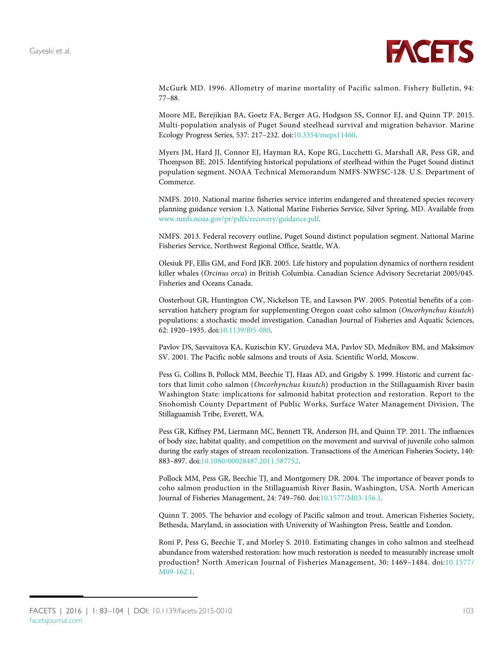

<span id="page-20-5"></span>McGurk MD. 1996. Allometry of marine mortality of Pacific salmon. Fishery Bulletin, 94: 77–88.

<span id="page-20-11"></span>Moore ME, Berejikian BA, Goetz FA, Berger AG, Hodgson SS, Connor EJ, and Quinn TP. 2015. Multi-population analysis of Puget Sound steelhead survival and migration behavior. Marine Ecology Progress Series, 537: 217–232. doi[:10.3354/meps11460.](http://dx.doi.org/10.3354/meps11460)

<span id="page-20-1"></span>Myers JM, Hard JJ, Connor EJ, Hayman RA, Kope RG, Lucchetti G, Marshall AR, Pess GR, and Thompson BE. 2015. Identifying historical populations of steelhead within the Puget Sound distinct population segment. NOAA Technical Memorandum NMFS-NWFSC-128. U.S. Department of Commerce.

<span id="page-20-0"></span>NMFS. 2010. National marine fisheries service interim endangered and threatened species recovery planning guidance version 1.3. National Marine Fisheries Service, Silver Spring, MD. Available from <www.nmfs.noaa.gov/pr/pdfs/recovery/guidance.pdf>.

<span id="page-20-12"></span>NMFS. 2013. Federal recovery outline, Puget Sound distinct population segment. National Marine Fisheries Service, Northwest Regional Office, Seattle, WA.

<span id="page-20-10"></span>Olesiuk PF, Ellis GM, and Ford JKB. 2005. Life history and population dynamics of northern resident killer whales (Orcinus orca) in British Columbia. Canadian Science Advisory Secretariat 2005/045. Fisheries and Oceans Canada.

<span id="page-20-6"></span>Oosterhout GR, Huntington CW, Nickelson TE, and Lawson PW. 2005. Potential benefits of a conservation hatchery program for supplementing Oregon coast coho salmon (Oncorhynchus kisutch) populations: a stochastic model investigation. Canadian Journal of Fisheries and Aquatic Sciences, 62: 1920–1935. doi[:10.1139/f05-080.](http://dx.doi.org/10.1139/f05-080)

<span id="page-20-4"></span>Pavlov DS, Savvaitova KA, Kuzischin KV, Gruzdeva MA, Pavlov SD, Mednikov BM, and Maksimov SV. 2001. The Pacific noble salmons and trouts of Asia. Scientific World, Moscow.

<span id="page-20-8"></span>Pess G, Collins B, Pollock MM, Beechie TJ, Haas AD, and Grigsby S. 1999. Historic and current factors that limit coho salmon (Oncorhynchus kisutch) production in the Stillaguamish River basin Washington State: implications for salmonid habitat protection and restoration. Report to the Snohomish County Department of Public Works, Surface Water Management Division, The Stillaguamish Tribe, Everett, WA.

<span id="page-20-7"></span>Pess GR, Kiffney PM, Liermann MC, Bennett TR, Anderson JH, and Quinn TP. 2011. The influences of body size, habitat quality, and competition on the movement and survival of juvenile coho salmon during the early stages of stream recolonization. Transactions of the American Fisheries Society, 140: 883–897. doi[:10.1080/00028487.2011.587752.](http://dx.doi.org/10.1080/00028487.2011.587752)

<span id="page-20-9"></span>Pollock MM, Pess GR, Beechie TJ, and Montgomery DR. 2004. The importance of beaver ponds to coho salmon production in the Stillaguamish River Basin, Washington, USA. North American Journal of Fisheries Management, 24: 749–760. doi[:10.1577/M03-156.1](http://dx.doi.org/10.1577/M03-156.1).

<span id="page-20-3"></span>Quinn T. 2005. The behavior and ecology of Pacific salmon and trout. American Fisheries Society, Bethesda, Maryland, in association with University of Washington Press, Seattle and London.

<span id="page-20-2"></span>Roni P, Pess G, Beechie T, and Morley S. 2010. Estimating changes in coho salmon and steelhead abundance from watershed restoration: how much restoration is needed to measurably increase smolt production? North American Journal of Fisheries Management, 30: 1469–1484. doi:[10.1577/](http://dx.doi.org/10.1577/M09-162.1) [M09-162.1](http://dx.doi.org/10.1577/M09-162.1).